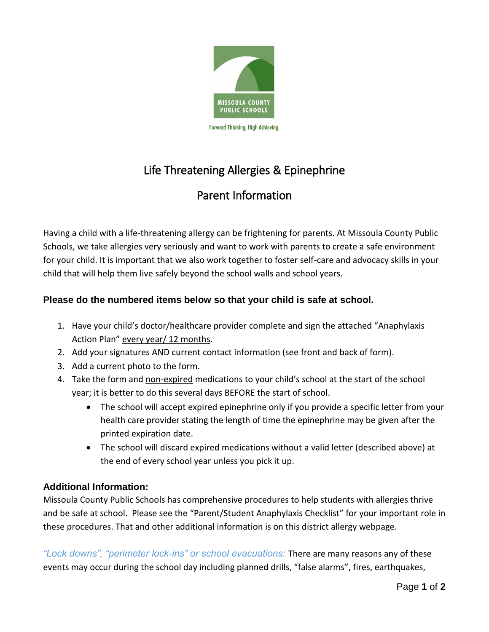

## Life Threatening Allergies & Epinephrine

## Parent Information

Having a child with a life-threatening allergy can be frightening for parents. At Missoula County Public Schools, we take allergies very seriously and want to work with parents to create a safe environment for your child. It is important that we also work together to foster self-care and advocacy skills in your child that will help them live safely beyond the school walls and school years.

## **Please do the numbered items below so that your child is safe at school.**

- 1. Have your child's doctor/healthcare provider complete and sign the attached "Anaphylaxis Action Plan" every year/ 12 months.
- 2. Add your signatures AND current contact information (see front and back of form).
- 3. Add a current photo to the form.
- 4. Take the form and non-expired medications to your child's school at the start of the school year; it is better to do this several days BEFORE the start of school.
	- The school will accept expired epinephrine only if you provide a specific letter from your health care provider stating the length of time the epinephrine may be given after the printed expiration date.
	- The school will discard expired medications without a valid letter (described above) at the end of every school year unless you pick it up.

## **Additional Information:**

Missoula County Public Schools has comprehensive procedures to help students with allergies thrive and be safe at school. Please see the "Parent/Student Anaphylaxis Checklist" for your important role in these procedures. That and other additional information is on this district allergy webpage.

*"Lock downs", "perimeter lock-ins" or school evacuations:* There are many reasons any of these events may occur during the school day including planned drills, "false alarms", fires, earthquakes,